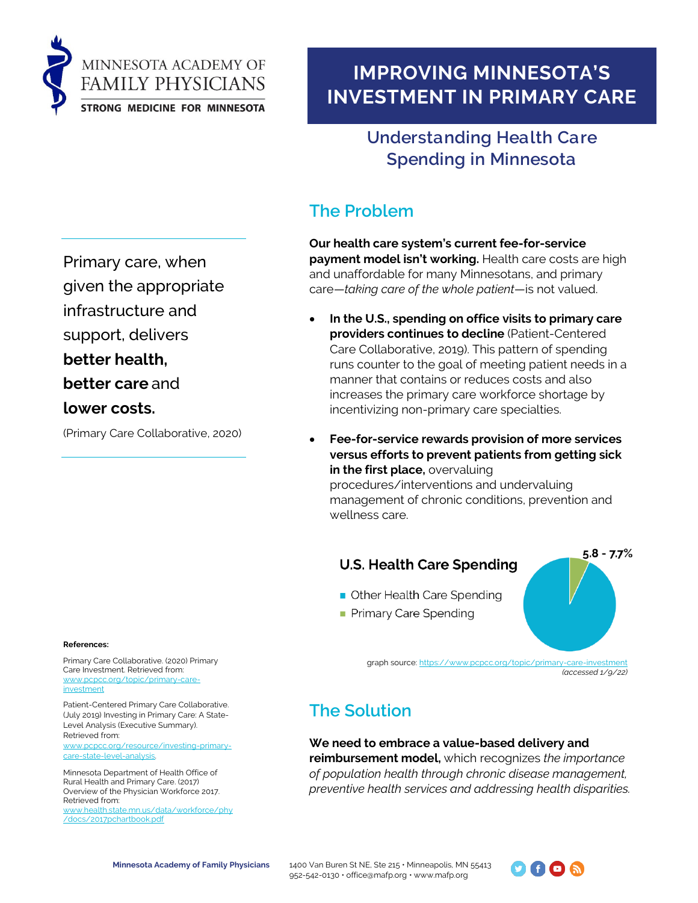

# **IMPROVING MINNESOTA'S INVESTMENT IN PRIMARY CARE**

### **Understanding Health Care Spending in Minnesota**

## **The Problem**

**Our health care system's current fee-for-service payment model isn't working.** Health care costs are high and unaffordable for many Minnesotans, and primary care—*taking care of the whole patient*—is not valued.

- **In the U.S., spending on office visits to primary care providers continues to decline** (Patient-Centered Care Collaborative, 2019). This pattern of spending runs counter to the goal of meeting patient needs in a manner that contains or reduces costs and also increases the primary care workforce shortage by incentivizing non-primary care specialties.
- **Fee-for-service rewards provision of more services versus efforts to prevent patients from getting sick in the first place,** overvaluing procedures/interventions and undervaluing management of chronic conditions, prevention and wellness care.

### **U.S. Health Care Spending**

- Other Health Care Spending
- Primary Care Spending

graph source[: https://www.pcpcc.org/topic/primary-care-investment](https://www.pcpcc.org/topic/primary-care-investment) *(accessed 1/9/22)*

## **The Solution**

**We need to embrace a value-based delivery and reimbursement model,** which recognizes *the importance of population health through chronic disease management, preventive health services and addressing health disparities.*

Primary care, when

given the appropriate

infrastructure and support, delivers

**better health,** 

**better care** and

**lower costs.**

(Primary Care Collaborative, 2020)

#### **References:**

Primary Care Collaborative. (2020) Primary Care Investment. Retrieved from: [www.pcpcc.org/topic/primary-care](http://www.pcpcc.org/topic/primary-care-investment)[investment](http://www.pcpcc.org/topic/primary-care-investment)

Patient-Centered Primary Care Collaborative. (July 2019) Investing in Primary Care: A State-Level Analysis (Executive Summary). Retrieved from:

[www.pcpcc.org/resource/investing-primary](http://www.pcpcc.org/resource/investing-primary-care-state-level-analysis)[care-state-level-analysis.](http://www.pcpcc.org/resource/investing-primary-care-state-level-analysis)

Minnesota Department of Health Office of Rural Health and Primary Care. (2017) Overview of the Physician Workforce 2017. Retrieved from: [www.health.state.mn.us/data/workforce/phy](http://www.health.state.mn.us/data/workforce/phy/docs/2017pchartbook.pdf) [/docs/2017pchartbook.pdf](http://www.health.state.mn.us/data/workforce/phy/docs/2017pchartbook.pdf)



 $5.8 - 7.7%$